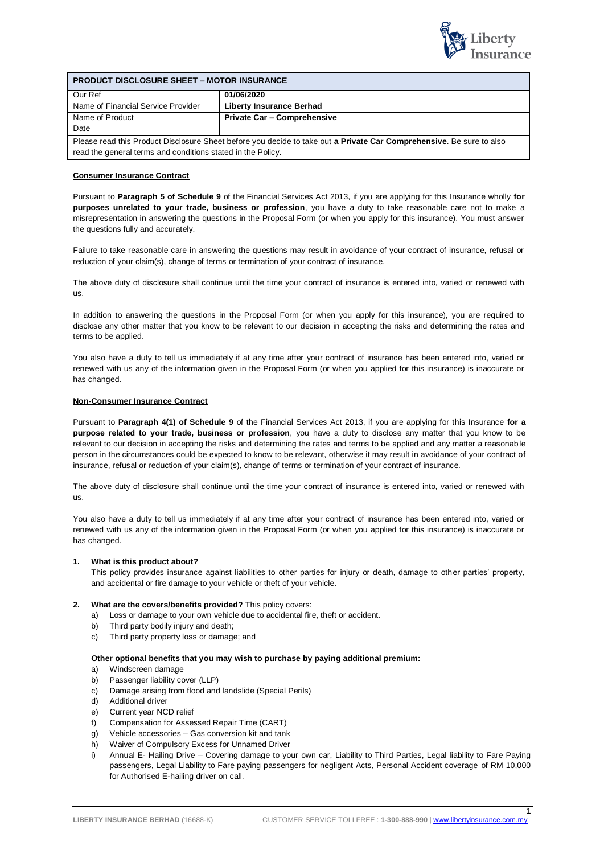

| <b>PRODUCT DISCLOSURE SHEET - MOTOR INSURANCE</b>           |                                                                                                                      |  |
|-------------------------------------------------------------|----------------------------------------------------------------------------------------------------------------------|--|
| Our Ref                                                     | 01/06/2020                                                                                                           |  |
| Name of Financial Service Provider                          | <b>Liberty Insurance Berhad</b>                                                                                      |  |
| Name of Product                                             | <b>Private Car - Comprehensive</b>                                                                                   |  |
| Date                                                        |                                                                                                                      |  |
| read the general terms and conditions stated in the Policy. | Please read this Product Disclosure Sheet before you decide to take out a Private Car Comprehensive. Be sure to also |  |

## **Consumer Insurance Contract**

Pursuant to **Paragraph 5 of Schedule 9** of the Financial Services Act 2013, if you are applying for this Insurance wholly **for purposes unrelated to your trade, business or profession**, you have a duty to take reasonable care not to make a misrepresentation in answering the questions in the Proposal Form (or when you apply for this insurance). You must answer the questions fully and accurately.

Failure to take reasonable care in answering the questions may result in avoidance of your contract of insurance, refusal or reduction of your claim(s), change of terms or termination of your contract of insurance.

The above duty of disclosure shall continue until the time your contract of insurance is entered into, varied or renewed with us.

In addition to answering the questions in the Proposal Form (or when you apply for this insurance), you are required to disclose any other matter that you know to be relevant to our decision in accepting the risks and determining the rates and terms to be applied.

You also have a duty to tell us immediately if at any time after your contract of insurance has been entered into, varied or renewed with us any of the information given in the Proposal Form (or when you applied for this insurance) is inaccurate or has changed.

### **Non-Consumer Insurance Contract**

Pursuant to **Paragraph 4(1) of Schedule 9** of the Financial Services Act 2013, if you are applying for this Insurance **for a purpose related to your trade, business or profession**, you have a duty to disclose any matter that you know to be relevant to our decision in accepting the risks and determining the rates and terms to be applied and any matter a reasonable person in the circumstances could be expected to know to be relevant, otherwise it may result in avoidance of your contract of insurance, refusal or reduction of your claim(s), change of terms or termination of your contract of insurance.

The above duty of disclosure shall continue until the time your contract of insurance is entered into, varied or renewed with us.

You also have a duty to tell us immediately if at any time after your contract of insurance has been entered into, varied or renewed with us any of the information given in the Proposal Form (or when you applied for this insurance) is inaccurate or has changed.

### **1. What is this product about?**

This policy provides insurance against liabilities to other parties for injury or death, damage to other parties' property, and accidental or fire damage to your vehicle or theft of your vehicle.

# **2. What are the covers/benefits provided?** This policy covers:

- a) Loss or damage to your own vehicle due to accidental fire, theft or accident.
- b) Third party bodily injury and death;
- c) Third party property loss or damage; and

### **Other optional benefits that you may wish to purchase by paying additional premium:**

- a) Windscreen damage
- b) Passenger liability cover (LLP)
- c) Damage arising from flood and landslide (Special Perils)
- d) Additional driver
- e) Current year NCD relief
- f) Compensation for Assessed Repair Time (CART)
- g) Vehicle accessories Gas conversion kit and tank
- h) Waiver of Compulsory Excess for Unnamed Driver
- i) Annual E- Hailing Drive Covering damage to your own car, Liability to Third Parties, Legal liability to Fare Paying passengers, Legal Liability to Fare paying passengers for negligent Acts, Personal Accident coverage of RM 10,000 for Authorised E-hailing driver on call.

1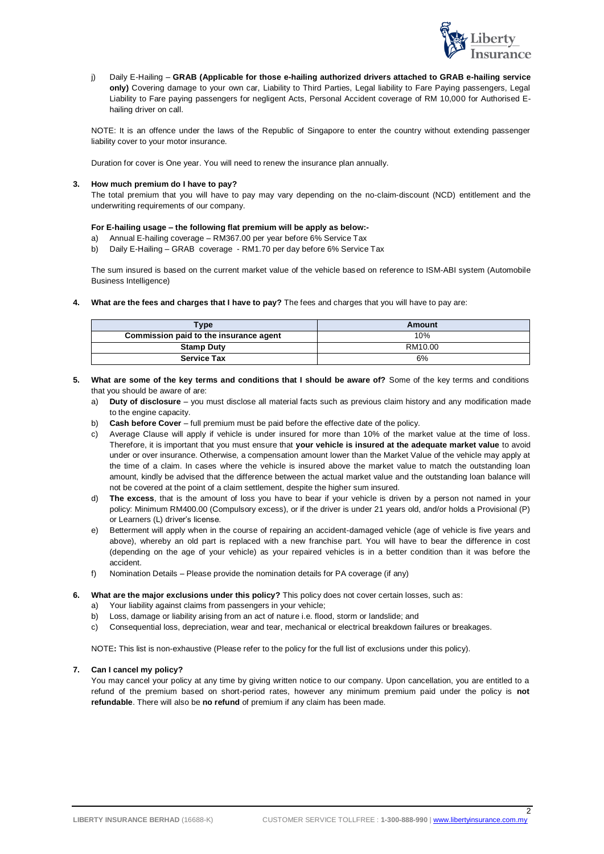

j) Daily E-Hailing – **GRAB (Applicable for those e-hailing authorized drivers attached to GRAB e-hailing service only)** Covering damage to your own car, Liability to Third Parties, Legal liability to Fare Paying passengers, Legal Liability to Fare paying passengers for negligent Acts, Personal Accident coverage of RM 10,000 for Authorised Ehailing driver on call.

NOTE: It is an offence under the laws of the Republic of Singapore to enter the country without extending passenger liability cover to your motor insurance.

Duration for cover is One year. You will need to renew the insurance plan annually.

# **3. How much premium do I have to pay?**

The total premium that you will have to pay may vary depending on the no-claim-discount (NCD) entitlement and the underwriting requirements of our company.

## **For E-hailing usage – the following flat premium will be apply as below:-**

- Annual E-hailing coverage RM367.00 per year before 6% Service Tax
- b) Daily E-Hailing GRAB coverage RM1.70 per day before 6% Service Tax

The sum insured is based on the current market value of the vehicle based on reference to ISM-ABI system (Automobile Business Intelligence)

**4. What are the fees and charges that I have to pay?** The fees and charges that you will have to pay are:

| <b>Type</b>                            | Amount  |
|----------------------------------------|---------|
| Commission paid to the insurance agent | 10%     |
| <b>Stamp Duty</b>                      | RM10.00 |
| <b>Service Tax</b>                     | 6%      |

- **5. What are some of the key terms and conditions that I should be aware of?** Some of the key terms and conditions that you should be aware of are:
	- a) **Duty of disclosure**  you must disclose all material facts such as previous claim history and any modification made to the engine capacity.
	- b) **Cash before Cover**  full premium must be paid before the effective date of the policy.
	- c) Average Clause will apply if vehicle is under insured for more than 10% of the market value at the time of loss. Therefore, it is important that you must ensure that **your vehicle is insured at the adequate market value** to avoid under or over insurance. Otherwise, a compensation amount lower than the Market Value of the vehicle may apply at the time of a claim. In cases where the vehicle is insured above the market value to match the outstanding loan amount, kindly be advised that the difference between the actual market value and the outstanding loan balance will not be covered at the point of a claim settlement, despite the higher sum insured.
	- d) **The excess**, that is the amount of loss you have to bear if your vehicle is driven by a person not named in your policy: Minimum RM400.00 (Compulsory excess), or if the driver is under 21 years old, and/or holds a Provisional (P) or Learners (L) driver's license.
	- e) Betterment will apply when in the course of repairing an accident-damaged vehicle (age of vehicle is five years and above), whereby an old part is replaced with a new franchise part. You will have to bear the difference in cost (depending on the age of your vehicle) as your repaired vehicles is in a better condition than it was before the accident.
	- f) Nomination Details Please provide the nomination details for PA coverage (if any)
- **6. What are the major exclusions under this policy?** This policy does not cover certain losses, such as:
	- a) Your liability against claims from passengers in your vehicle;
	- b) Loss, damage or liability arising from an act of nature i.e. flood, storm or landslide; and
	- c) Consequential loss, depreciation, wear and tear, mechanical or electrical breakdown failures or breakages.

NOTE**:** This list is non-exhaustive (Please refer to the policy for the full list of exclusions under this policy).

### **7. Can I cancel my policy?**

You may cancel your policy at any time by giving written notice to our company. Upon cancellation, you are entitled to a refund of the premium based on short-period rates, however any minimum premium paid under the policy is **not refundable**. There will also be **no refund** of premium if any claim has been made.

 $\overline{2}$